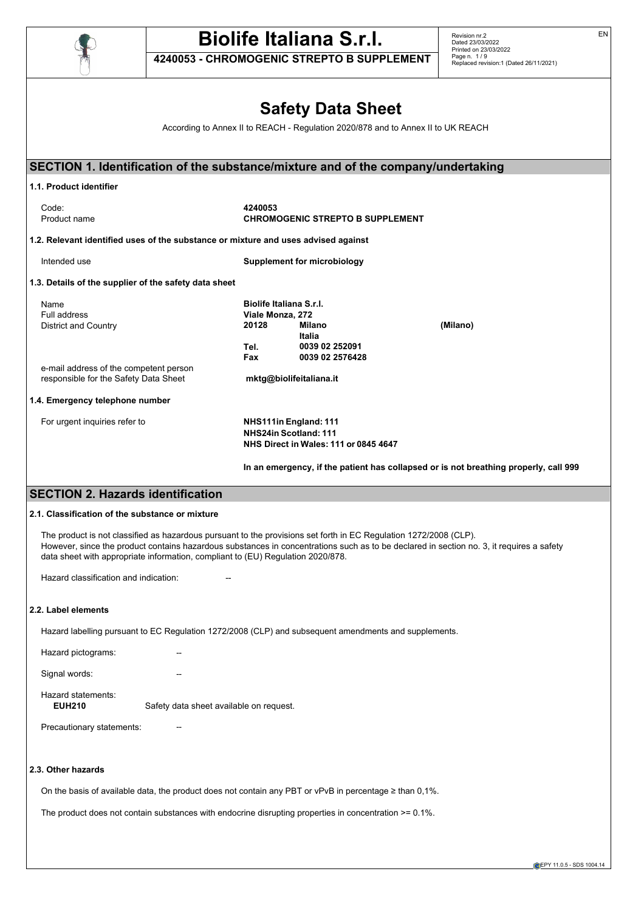

**4240053 - CHROMOGENIC STREPTO B SUPPLEMENT**

EN

|                                                                                    |                                                                       | <b>Safety Data Sheet</b>                                                                |                                                                                      |  |
|------------------------------------------------------------------------------------|-----------------------------------------------------------------------|-----------------------------------------------------------------------------------------|--------------------------------------------------------------------------------------|--|
|                                                                                    |                                                                       |                                                                                         | According to Annex II to REACH - Regulation 2020/878 and to Annex II to UK REACH     |  |
|                                                                                    |                                                                       |                                                                                         |                                                                                      |  |
| SECTION 1. Identification of the substance/mixture and of the company/undertaking  |                                                                       |                                                                                         |                                                                                      |  |
| 1.1. Product identifier                                                            |                                                                       |                                                                                         |                                                                                      |  |
| Code:<br>Product name                                                              | 4240053                                                               | <b>CHROMOGENIC STREPTO B SUPPLEMENT</b>                                                 |                                                                                      |  |
| 1.2. Relevant identified uses of the substance or mixture and uses advised against |                                                                       |                                                                                         |                                                                                      |  |
| Intended use                                                                       |                                                                       | Supplement for microbiology                                                             |                                                                                      |  |
| 1.3. Details of the supplier of the safety data sheet                              |                                                                       |                                                                                         |                                                                                      |  |
| Name<br>Full address<br>District and Country                                       | Biolife Italiana S.r.I.<br>Viale Monza, 272<br>20128<br><b>Milano</b> |                                                                                         | (Milano)                                                                             |  |
|                                                                                    | Tel.<br>Fax                                                           | <b>Italia</b><br>0039 02 252091<br>0039 02 2576428                                      |                                                                                      |  |
| e-mail address of the competent person<br>responsible for the Safety Data Sheet    |                                                                       | mktg@biolifeitaliana.it                                                                 |                                                                                      |  |
| 1.4. Emergency telephone number                                                    |                                                                       |                                                                                         |                                                                                      |  |
| For urgent inquiries refer to                                                      |                                                                       | NHS111in England: 111<br>NHS24in Scotland: 111<br>NHS Direct in Wales: 111 or 0845 4647 |                                                                                      |  |
|                                                                                    |                                                                       |                                                                                         | In an emergency, if the patient has collapsed or is not breathing properly, call 999 |  |

## **SECTION 2. Hazards identification**

## **2.1. Classification of the substance or mixture**

The product is not classified as hazardous pursuant to the provisions set forth in EC Regulation 1272/2008 (CLP). However, since the product contains hazardous substances in concentrations such as to be declared in section no. 3, it requires a safety data sheet with appropriate information, compliant to (EU) Regulation 2020/878.

Hazard classification and indication:

#### **2.2. Label elements**

Hazard labelling pursuant to EC Regulation 1272/2008 (CLP) and subsequent amendments and supplements.

Hazard pictograms: Signal words:

Hazard statements:<br>EUH210 Safety data sheet available on request.

Precautionary statements:

## **2.3. Other hazards**

On the basis of available data, the product does not contain any PBT or vPvB in percentage ≥ than 0,1%.

The product does not contain substances with endocrine disrupting properties in concentration >= 0.1%.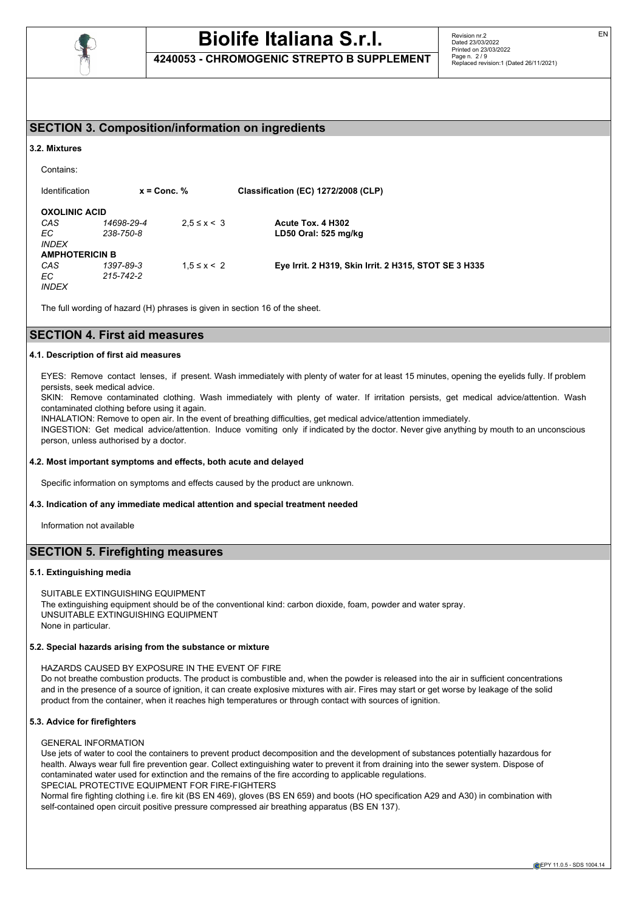

**4240053 - CHROMOGENIC STREPTO B SUPPLEMENT**

## **SECTION 3. Composition/information on ingredients**

#### **3.2. Mixtures**

```
Contains:
```
Identification **x = Conc. % Classification (EC) 1272/2008 (CLP) OXOLINIC ACID**<br>CAS 14698-29-4 *CAS 14698-29-4* 2,5 ≤ x < 3 **Acute Tox. 4 H302** *EC 238-750-8* **LD50 Oral: 525 mg/kg** *INDEX* **AMPHOTERICIN B**<br>CAS 1397-89-3 *CAS 1397-89-3* 1,5 ≤ x < 2 **Eye Irrit. 2 H319, Skin Irrit. 2 H315, STOT SE 3 H335** *EC 215-742-2 INDEX*

The full wording of hazard (H) phrases is given in section 16 of the sheet.

## **SECTION 4. First aid measures**

## **4.1. Description of first aid measures**

EYES: Remove contact lenses, if present. Wash immediately with plenty of water for at least 15 minutes, opening the eyelids fully. If problem persists, seek medical advice.

SKIN: Remove contaminated clothing. Wash immediately with plenty of water. If irritation persists, get medical advice/attention. Wash contaminated clothing before using it again.

INHALATION: Remove to open air. In the event of breathing difficulties, get medical advice/attention immediately.

INGESTION: Get medical advice/attention. Induce vomiting only if indicated by the doctor. Never give anything by mouth to an unconscious person, unless authorised by a doctor.

## **4.2. Most important symptoms and effects, both acute and delayed**

Specific information on symptoms and effects caused by the product are unknown.

## **4.3. Indication of any immediate medical attention and special treatment needed**

Information not available

## **SECTION 5. Firefighting measures**

## **5.1. Extinguishing media**

SUITABLE EXTINGUISHING EQUIPMENT The extinguishing equipment should be of the conventional kind: carbon dioxide, foam, powder and water spray. UNSUITABLE EXTINGUISHING EQUIPMENT None in particular.

## **5.2. Special hazards arising from the substance or mixture**

HAZARDS CAUSED BY EXPOSURE IN THE EVENT OF FIRE

Do not breathe combustion products. The product is combustible and, when the powder is released into the air in sufficient concentrations and in the presence of a source of ignition, it can create explosive mixtures with air. Fires may start or get worse by leakage of the solid product from the container, when it reaches high temperatures or through contact with sources of ignition.

## **5.3. Advice for firefighters**

GENERAL INFORMATION

Use jets of water to cool the containers to prevent product decomposition and the development of substances potentially hazardous for health. Always wear full fire prevention gear. Collect extinguishing water to prevent it from draining into the sewer system. Dispose of contaminated water used for extinction and the remains of the fire according to applicable regulations. SPECIAL PROTECTIVE EQUIPMENT FOR FIRE-FIGHTERS

Normal fire fighting clothing i.e. fire kit (BS EN 469), gloves (BS EN 659) and boots (HO specification A29 and A30) in combination with self-contained open circuit positive pressure compressed air breathing apparatus (BS EN 137).

EN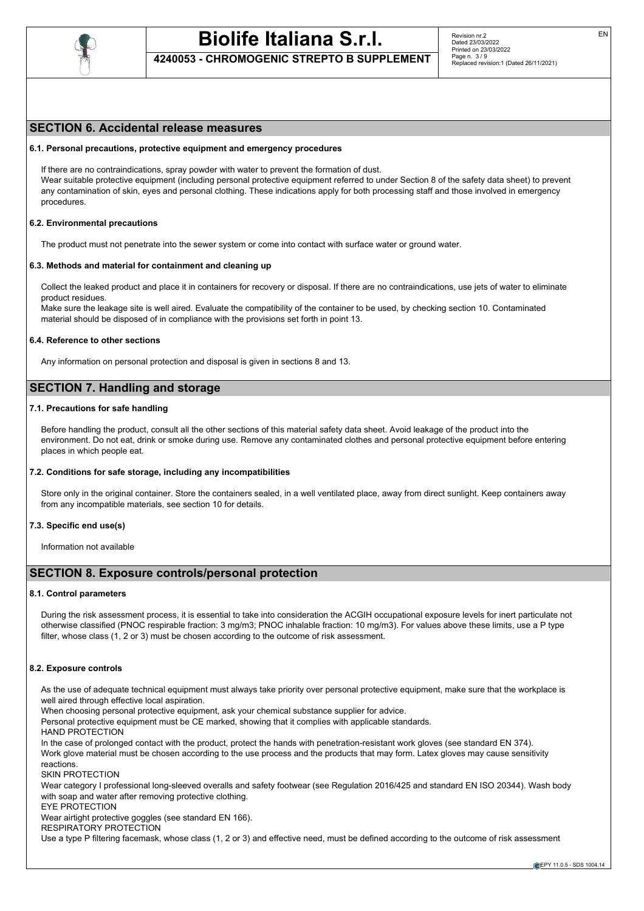

**4240053 - CHROMOGENIC STREPTO B SUPPLEMENT**

## **SECTION 6. Accidental release measures**

## **6.1. Personal precautions, protective equipment and emergency procedures**

If there are no contraindications, spray powder with water to prevent the formation of dust. Wear suitable protective equipment (including personal protective equipment referred to under Section 8 of the safety data sheet) to prevent any contamination of skin, eyes and personal clothing. These indications apply for both processing staff and those involved in emergency procedures.

#### **6.2. Environmental precautions**

The product must not penetrate into the sewer system or come into contact with surface water or ground water.

#### **6.3. Methods and material for containment and cleaning up**

Collect the leaked product and place it in containers for recovery or disposal. If there are no contraindications, use jets of water to eliminate product residues.

Make sure the leakage site is well aired. Evaluate the compatibility of the container to be used, by checking section 10. Contaminated material should be disposed of in compliance with the provisions set forth in point 13.

#### **6.4. Reference to other sections**

Any information on personal protection and disposal is given in sections 8 and 13.

## **SECTION 7. Handling and storage**

## **7.1. Precautions for safe handling**

Before handling the product, consult all the other sections of this material safety data sheet. Avoid leakage of the product into the environment. Do not eat, drink or smoke during use. Remove any contaminated clothes and personal protective equipment before entering places in which people eat.

### **7.2. Conditions for safe storage, including any incompatibilities**

Store only in the original container. Store the containers sealed, in a well ventilated place, away from direct sunlight. Keep containers away from any incompatible materials, see section 10 for details.

### **7.3. Specific end use(s)**

Information not available

## **SECTION 8. Exposure controls/personal protection**

#### **8.1. Control parameters**

During the risk assessment process, it is essential to take into consideration the ACGIH occupational exposure levels for inert particulate not otherwise classified (PNOC respirable fraction: 3 mg/m3; PNOC inhalable fraction: 10 mg/m3). For values above these limits, use a P type filter, whose class (1, 2 or 3) must be chosen according to the outcome of risk assessment.

#### **8.2. Exposure controls**

As the use of adequate technical equipment must always take priority over personal protective equipment, make sure that the workplace is well aired through effective local aspiration.

When choosing personal protective equipment, ask your chemical substance supplier for advice.

Personal protective equipment must be CE marked, showing that it complies with applicable standards.

HAND PROTECTION

In the case of prolonged contact with the product, protect the hands with penetration-resistant work gloves (see standard EN 374). Work glove material must be chosen according to the use process and the products that may form. Latex gloves may cause sensitivity

reactions. SKIN PROTECTION

Wear category I professional long-sleeved overalls and safety footwear (see Regulation 2016/425 and standard EN ISO 20344). Wash body with soap and water after removing protective clothing.

EYE PROTECTION

Wear airtight protective goggles (see standard EN 166).

RESPIRATORY PROTECTION

Use a type P filtering facemask, whose class (1, 2 or 3) and effective need, must be defined according to the outcome of risk assessment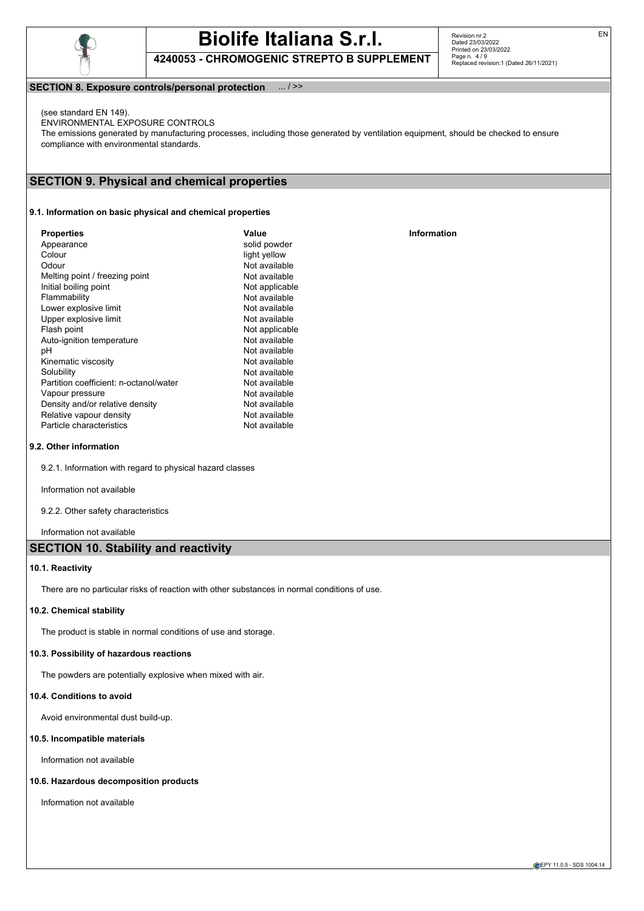

**4240053 - CHROMOGENIC STREPTO B SUPPLEMENT**

Revision nr.2 Dated 23/03/2022 Printed on 23/03/2022 Page n. 4 / 9 Replaced revision:1 (Dated 26/11/2021)

## **SECTION 8. Exposure controls/personal protection** ... / >>

(see standard EN 149).

ENVIRONMENTAL EXPOSURE CONTROLS The emissions generated by manufacturing processes, including those generated by ventilation equipment, should be checked to ensure compliance with environmental standards.

## **SECTION 9. Physical and chemical properties**

## **9.1. Information on basic physical and chemical properties**

| <b>Properties</b><br>Appearance<br>Colour<br>Odour<br>Melting point / freezing point<br>Initial boiling point<br>Flammability<br>Lower explosive limit<br>Upper explosive limit<br>Flash point<br>Auto-ignition temperature<br>рH<br>Kinematic viscosity<br>Solubility<br>Partition coefficient: n-octanol/water<br>Vapour pressure | Value<br>solid powder<br>light yellow<br>Not available<br>Not available<br>Not applicable<br>Not available<br>Not available<br>Not available<br>Not applicable<br>Not available<br>Not available<br>Not available<br>Not available<br>Not available<br>Not available | <b>Information</b> |
|-------------------------------------------------------------------------------------------------------------------------------------------------------------------------------------------------------------------------------------------------------------------------------------------------------------------------------------|----------------------------------------------------------------------------------------------------------------------------------------------------------------------------------------------------------------------------------------------------------------------|--------------------|
| Density and/or relative density<br>Relative vapour density<br>Particle characteristics                                                                                                                                                                                                                                              | Not available<br>Not available<br>Not available                                                                                                                                                                                                                      |                    |

## **9.2. Other information**

9.2.1. Information with regard to physical hazard classes

Information not available

9.2.2. Other safety characteristics

Information not available

## **SECTION 10. Stability and reactivity**

## **10.1. Reactivity**

There are no particular risks of reaction with other substances in normal conditions of use.

## **10.2. Chemical stability**

The product is stable in normal conditions of use and storage.

## **10.3. Possibility of hazardous reactions**

The powders are potentially explosive when mixed with air.

## **10.4. Conditions to avoid**

Avoid environmental dust build-up.

## **10.5. Incompatible materials**

Information not available

#### **10.6. Hazardous decomposition products**

Information not available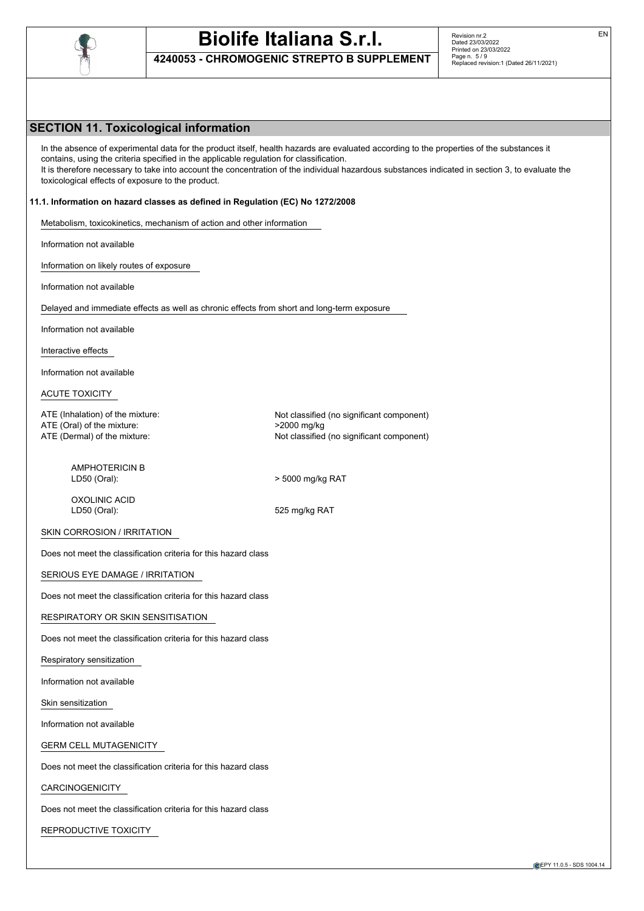

**4240053 - CHROMOGENIC STREPTO B SUPPLEMENT**

## **SECTION 11. Toxicological information**

In the absence of experimental data for the product itself, health hazards are evaluated according to the properties of the substances it contains, using the criteria specified in the applicable regulation for classification. It is therefore necessary to take into account the concentration of the individual hazardous substances indicated in section 3, to evaluate the toxicological effects of exposure to the product.

### **11.1. Information on hazard classes as defined in Regulation (EC) No 1272/2008**

Metabolism, toxicokinetics, mechanism of action and other information

Information not available

Information on likely routes of exposure

Information not available

Delayed and immediate effects as well as chronic effects from short and long-term exposure

Information not available

Interactive effects

Information not available

ACUTE TOXICITY

ATE (Oral) of the mixture:  $>2000 \text{ mg/kg}$ 

ATE (Inhalation) of the mixture: Not classified (no significant component) ATE (Dermal) of the mixture:  $\blacksquare$  Not classified (no significant component)

AMPHOTERICIN B LD50 (Oral): > 5000 mg/kg RAT

OXOLINIC ACID LD50 (Oral): 525 mg/kg RAT

SKIN CORROSION / IRRITATION

Does not meet the classification criteria for this hazard class

SERIOUS EYE DAMAGE / IRRITATION

Does not meet the classification criteria for this hazard class

RESPIRATORY OR SKIN SENSITISATION

Does not meet the classification criteria for this hazard class

Respiratory sensitization

Information not available

Skin sensitization

Information not available

GERM CELL MUTAGENICITY

Does not meet the classification criteria for this hazard class

CARCINOGENICITY

Does not meet the classification criteria for this hazard class

REPRODUCTIVE TOXICITY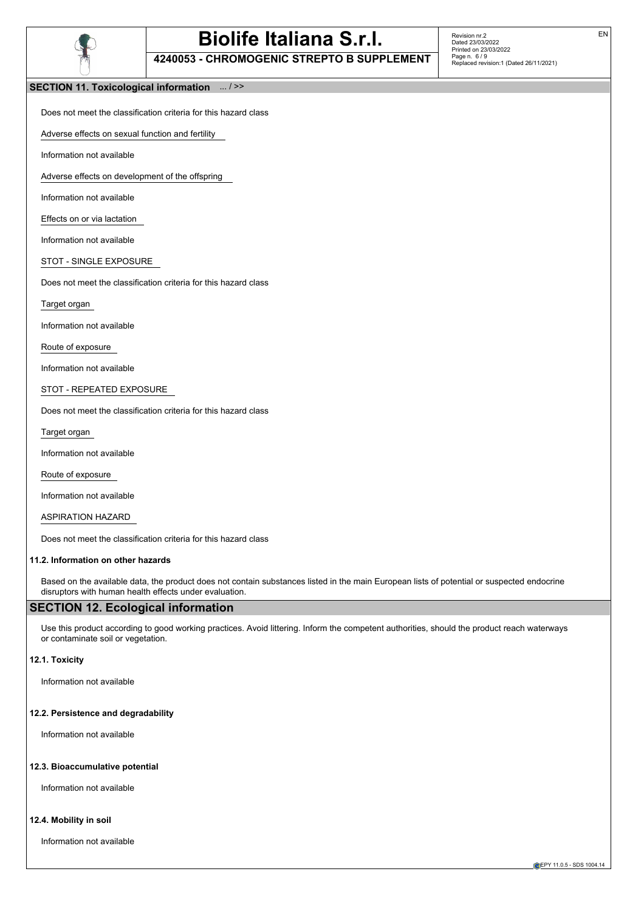

**4240053 - CHROMOGENIC STREPTO B SUPPLEMENT**

Revision nr.2 Dated 23/03/2022 Printed on 23/03/2022 Page n. 6 / 9 Replaced revision:1 (Dated 26/11/2021)

## **SECTION 11. Toxicological information** ... / >>

Does not meet the classification criteria for this hazard class

Adverse effects on sexual function and fertility

Information not available

Adverse effects on development of the offspring

Information not available

Effects on or via lactation

Information not available

STOT - SINGLE EXPOSURE

Does not meet the classification criteria for this hazard class

Target organ

Information not available

Route of exposure

Information not available

STOT - REPEATED EXPOSURE

Does not meet the classification criteria for this hazard class

Target organ

Information not available

Route of exposure

Information not available

ASPIRATION HAZARD

Does not meet the classification criteria for this hazard class

#### **11.2. Information on other hazards**

Based on the available data, the product does not contain substances listed in the main European lists of potential or suspected endocrine disruptors with human health effects under evaluation.

## **SECTION 12. Ecological information**

Use this product according to good working practices. Avoid littering. Inform the competent authorities, should the product reach waterways or contaminate soil or vegetation.

#### **12.1. Toxicity**

Information not available

#### **12.2. Persistence and degradability**

Information not available

#### **12.3. Bioaccumulative potential**

Information not available

#### **12.4. Mobility in soil**

Information not available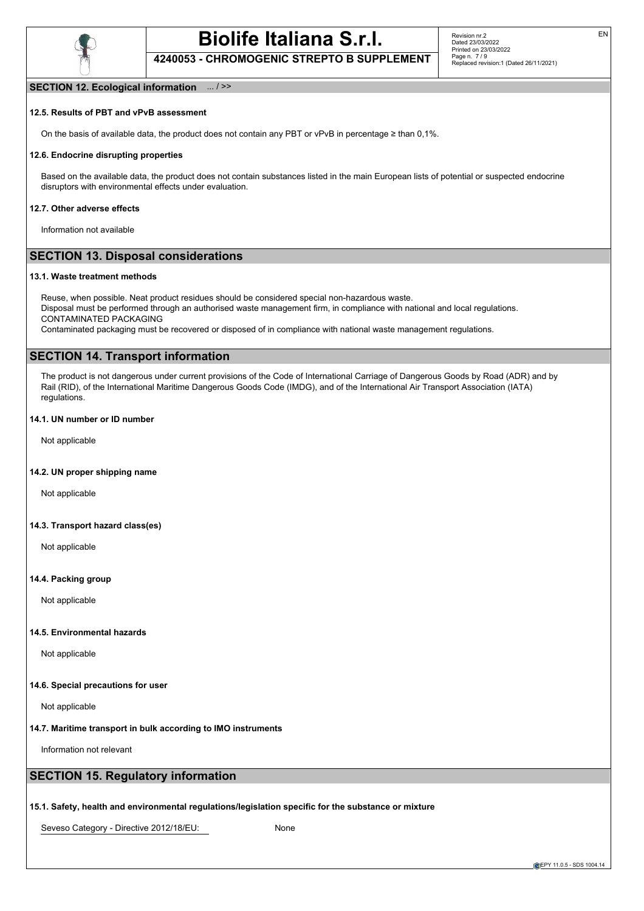

**4240053 - CHROMOGENIC STREPTO B SUPPLEMENT**

EN

#### **SECTION 12. Ecological information** ... / >>

## **12.5. Results of PBT and vPvB assessment**

On the basis of available data, the product does not contain any PBT or vPvB in percentage ≥ than 0,1%.

#### **12.6. Endocrine disrupting properties**

Based on the available data, the product does not contain substances listed in the main European lists of potential or suspected endocrine disruptors with environmental effects under evaluation.

#### **12.7. Other adverse effects**

Information not available

## **SECTION 13. Disposal considerations**

#### **13.1. Waste treatment methods**

Reuse, when possible. Neat product residues should be considered special non-hazardous waste. Disposal must be performed through an authorised waste management firm, in compliance with national and local regulations. CONTAMINATED PACKAGING

Contaminated packaging must be recovered or disposed of in compliance with national waste management regulations.

## **SECTION 14. Transport information**

The product is not dangerous under current provisions of the Code of International Carriage of Dangerous Goods by Road (ADR) and by Rail (RID), of the International Maritime Dangerous Goods Code (IMDG), and of the International Air Transport Association (IATA) regulations.

## **14.1. UN number or ID number**

Not applicable

#### **14.2. UN proper shipping name**

Not applicable

### **14.3. Transport hazard class(es)**

Not applicable

### **14.4. Packing group**

Not applicable

### **14.5. Environmental hazards**

Not applicable

#### **14.6. Special precautions for user**

Not applicable

#### **14.7. Maritime transport in bulk according to IMO instruments**

Information not relevant

## **SECTION 15. Regulatory information**

#### **15.1. Safety, health and environmental regulations/legislation specific for the substance or mixture**

Seveso Category - Directive 2012/18/EU: None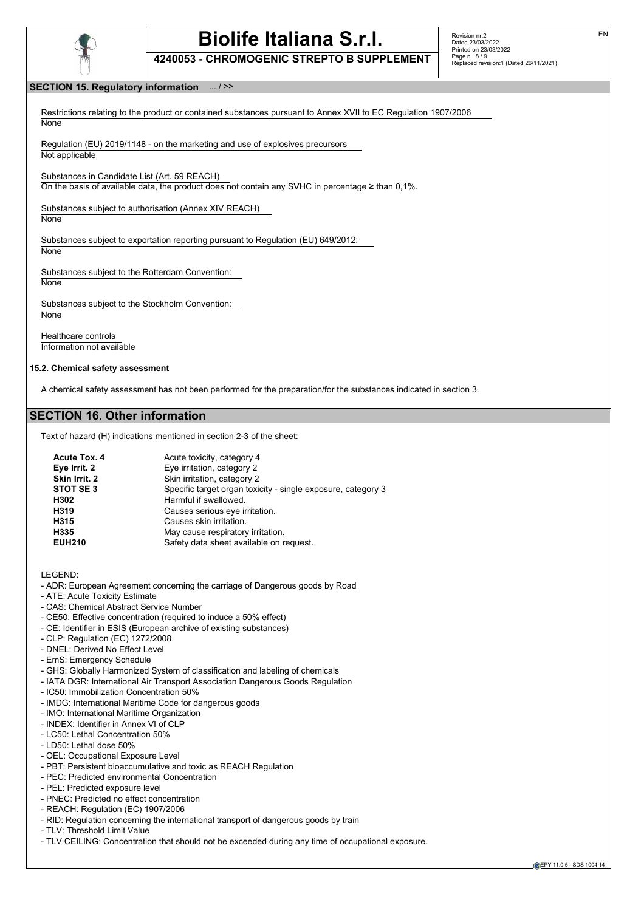

**4240053 - CHROMOGENIC STREPTO B SUPPLEMENT**

## **SECTION 15. Regulatory information** ... / >>

Restrictions relating to the product or contained substances pursuant to Annex XVII to EC Regulation 1907/2006 **None** 

Regulation (EU) 2019/1148 - on the marketing and use of explosives precursors Not applicable

Substances in Candidate List (Art. 59 REACH)

On the basis of available data, the product does not contain any SVHC in percentage ≥ than 0,1%.

Substances subject to authorisation (Annex XIV REACH)

**None** 

Substances subject to exportation reporting pursuant to Regulation (EU) 649/2012: None

Substances subject to the Rotterdam Convention: **None** 

Substances subject to the Stockholm Convention:

**None** 

Healthcare controls Information not available

#### **15.2. Chemical safety assessment**

A chemical safety assessment has not been performed for the preparation/for the substances indicated in section 3.

## **SECTION 16. Other information**

Text of hazard (H) indications mentioned in section 2-3 of the sheet:

| Acute Tox. 4  | Acute toxicity, category 4                                   |
|---------------|--------------------------------------------------------------|
| Eye Irrit. 2  | Eye irritation, category 2                                   |
| Skin Irrit. 2 | Skin irritation, category 2                                  |
| STOT SE 3     | Specific target organ toxicity - single exposure, category 3 |
| H302          | Harmful if swallowed.                                        |
| H319          | Causes serious eye irritation.                               |
| H315          | Causes skin irritation.                                      |
| H335          | May cause respiratory irritation.                            |
| <b>EUH210</b> | Safety data sheet available on request.                      |

LEGEND:

- ADR: European Agreement concerning the carriage of Dangerous goods by Road
- ATE: Acute Toxicity Estimate
- CAS: Chemical Abstract Service Number
- CE50: Effective concentration (required to induce a 50% effect)
- CE: Identifier in ESIS (European archive of existing substances)
- CLP: Regulation (EC) 1272/2008
- DNEL: Derived No Effect Level
- EmS: Emergency Schedule
- GHS: Globally Harmonized System of classification and labeling of chemicals
- IATA DGR: International Air Transport Association Dangerous Goods Regulation
- IC50: Immobilization Concentration 50%
- IMDG: International Maritime Code for dangerous goods
- IMO: International Maritime Organization
- INDEX: Identifier in Annex VI of CLP
- LC50: Lethal Concentration 50%
- LD50: Lethal dose 50%
- OEL: Occupational Exposure Level
- PBT: Persistent bioaccumulative and toxic as REACH Regulation
- PEC: Predicted environmental Concentration
- PEL: Predicted exposure level
- PNEC: Predicted no effect concentration
- REACH: Regulation (EC) 1907/2006
- RID: Regulation concerning the international transport of dangerous goods by train
- TLV: Threshold Limit Value
- TLV CEILING: Concentration that should not be exceeded during any time of occupational exposure.